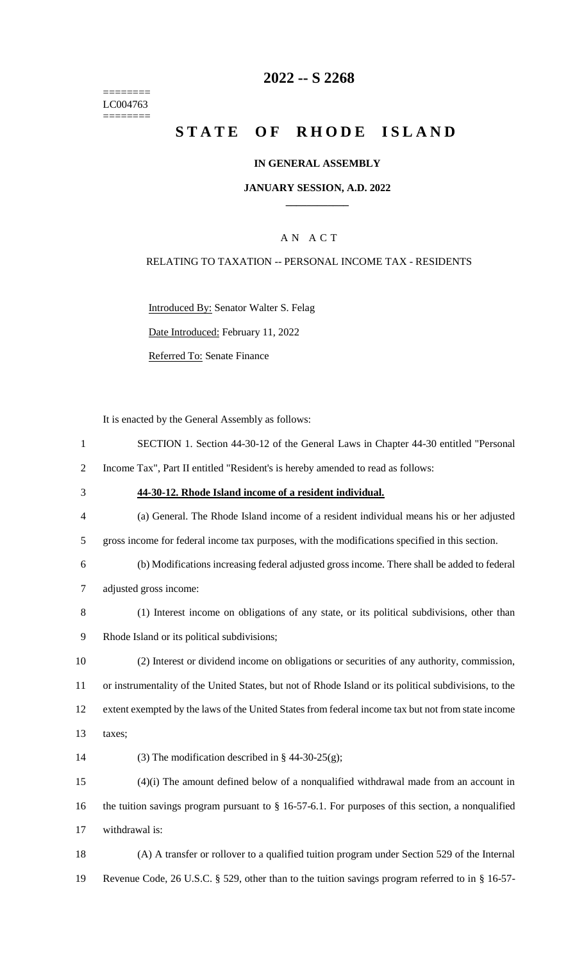======== LC004763  $=$ 

## **2022 -- S 2268**

# STATE OF RHODE ISLAND

### **IN GENERAL ASSEMBLY**

### **JANUARY SESSION, A.D. 2022 \_\_\_\_\_\_\_\_\_\_\_\_**

## A N A C T

### RELATING TO TAXATION -- PERSONAL INCOME TAX - RESIDENTS

Introduced By: Senator Walter S. Felag

Date Introduced: February 11, 2022

Referred To: Senate Finance

It is enacted by the General Assembly as follows:

| $\mathbf{1}$   | SECTION 1. Section 44-30-12 of the General Laws in Chapter 44-30 entitled "Personal                    |
|----------------|--------------------------------------------------------------------------------------------------------|
| $\sqrt{2}$     | Income Tax", Part II entitled "Resident's is hereby amended to read as follows:                        |
| 3              | 44-30-12. Rhode Island income of a resident individual.                                                |
| $\overline{4}$ | (a) General. The Rhode Island income of a resident individual means his or her adjusted                |
| 5              | gross income for federal income tax purposes, with the modifications specified in this section.        |
| 6              | (b) Modifications increasing federal adjusted gross income. There shall be added to federal            |
| $\tau$         | adjusted gross income:                                                                                 |
| 8              | (1) Interest income on obligations of any state, or its political subdivisions, other than             |
| 9              | Rhode Island or its political subdivisions;                                                            |
| 10             | (2) Interest or dividend income on obligations or securities of any authority, commission,             |
| 11             | or instrumentality of the United States, but not of Rhode Island or its political subdivisions, to the |
| 12             | extent exempted by the laws of the United States from federal income tax but not from state income     |
| 13             | taxes;                                                                                                 |
| 14             | (3) The modification described in $\S$ 44-30-25(g);                                                    |
| 15             | $(4)(i)$ The amount defined below of a nonqualified withdrawal made from an account in                 |
| 16             | the tuition savings program pursuant to $\S$ 16-57-6.1. For purposes of this section, a nonqualified   |
| 17             | withdrawal is:                                                                                         |
| 18             | (A) A transfer or rollover to a qualified tuition program under Section 529 of the Internal            |
| 19             | Revenue Code, 26 U.S.C. § 529, other than to the tuition savings program referred to in § 16-57-       |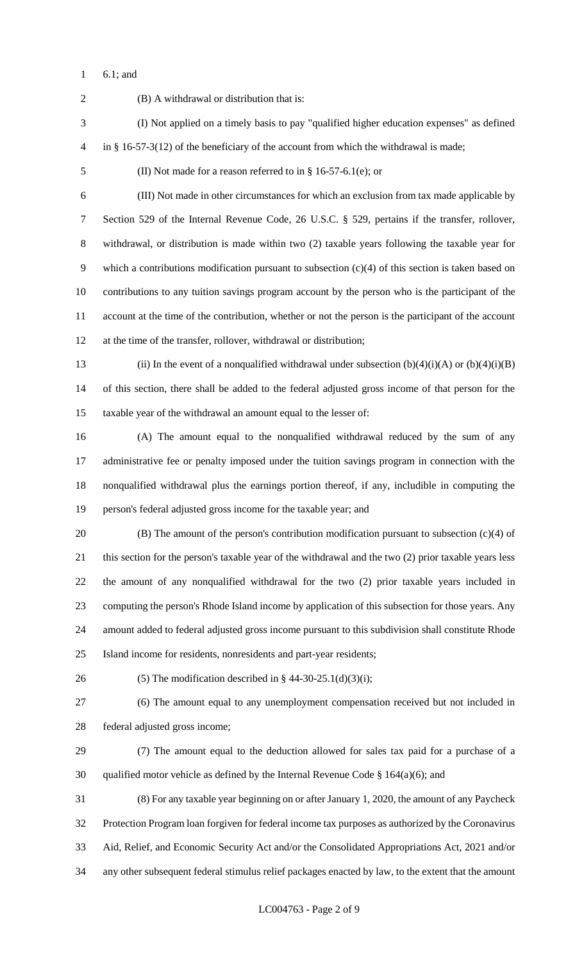6.1; and

 (B) A withdrawal or distribution that is: (I) Not applied on a timely basis to pay "qualified higher education expenses" as defined in § 16-57-3(12) of the beneficiary of the account from which the withdrawal is made; (II) Not made for a reason referred to in § 16-57-6.1(e); or (III) Not made in other circumstances for which an exclusion from tax made applicable by Section 529 of the Internal Revenue Code, 26 U.S.C. § 529, pertains if the transfer, rollover, withdrawal, or distribution is made within two (2) taxable years following the taxable year for which a contributions modification pursuant to subsection (c)(4) of this section is taken based on contributions to any tuition savings program account by the person who is the participant of the account at the time of the contribution, whether or not the person is the participant of the account at the time of the transfer, rollover, withdrawal or distribution; 13 (ii) In the event of a nonqualified withdrawal under subsection  $(b)(4)(i)(A)$  or  $(b)(4)(i)(B)$  of this section, there shall be added to the federal adjusted gross income of that person for the taxable year of the withdrawal an amount equal to the lesser of: (A) The amount equal to the nonqualified withdrawal reduced by the sum of any administrative fee or penalty imposed under the tuition savings program in connection with the nonqualified withdrawal plus the earnings portion thereof, if any, includible in computing the person's federal adjusted gross income for the taxable year; and (B) The amount of the person's contribution modification pursuant to subsection (c)(4) of this section for the person's taxable year of the withdrawal and the two (2) prior taxable years less the amount of any nonqualified withdrawal for the two (2) prior taxable years included in computing the person's Rhode Island income by application of this subsection for those years. Any amount added to federal adjusted gross income pursuant to this subdivision shall constitute Rhode Island income for residents, nonresidents and part-year residents; 26 (5) The modification described in  $\S$  44-30-25.1(d)(3)(i); (6) The amount equal to any unemployment compensation received but not included in federal adjusted gross income; (7) The amount equal to the deduction allowed for sales tax paid for a purchase of a 30 qualified motor vehicle as defined by the Internal Revenue Code  $\S$  164(a)(6); and (8) For any taxable year beginning on or after January 1, 2020, the amount of any Paycheck Protection Program loan forgiven for federal income tax purposes as authorized by the Coronavirus Aid, Relief, and Economic Security Act and/or the Consolidated Appropriations Act, 2021 and/or any other subsequent federal stimulus relief packages enacted by law, to the extent that the amount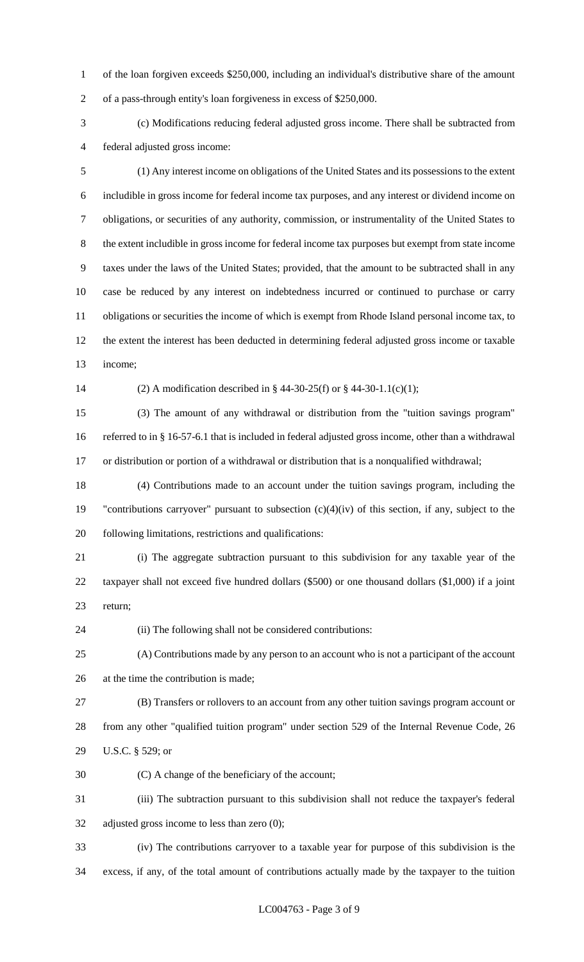of the loan forgiven exceeds \$250,000, including an individual's distributive share of the amount of a pass-through entity's loan forgiveness in excess of \$250,000.

 (c) Modifications reducing federal adjusted gross income. There shall be subtracted from federal adjusted gross income:

 (1) Any interest income on obligations of the United States and its possessions to the extent includible in gross income for federal income tax purposes, and any interest or dividend income on obligations, or securities of any authority, commission, or instrumentality of the United States to the extent includible in gross income for federal income tax purposes but exempt from state income taxes under the laws of the United States; provided, that the amount to be subtracted shall in any case be reduced by any interest on indebtedness incurred or continued to purchase or carry obligations or securities the income of which is exempt from Rhode Island personal income tax, to the extent the interest has been deducted in determining federal adjusted gross income or taxable income;

(2) A modification described in § 44-30-25(f) or § 44-30-1.1(c)(1);

 (3) The amount of any withdrawal or distribution from the "tuition savings program" referred to in § 16-57-6.1 that is included in federal adjusted gross income, other than a withdrawal or distribution or portion of a withdrawal or distribution that is a nonqualified withdrawal;

 (4) Contributions made to an account under the tuition savings program, including the "contributions carryover" pursuant to subsection (c)(4)(iv) of this section, if any, subject to the following limitations, restrictions and qualifications:

 (i) The aggregate subtraction pursuant to this subdivision for any taxable year of the taxpayer shall not exceed five hundred dollars (\$500) or one thousand dollars (\$1,000) if a joint return;

(ii) The following shall not be considered contributions:

 (A) Contributions made by any person to an account who is not a participant of the account at the time the contribution is made;

 (B) Transfers or rollovers to an account from any other tuition savings program account or from any other "qualified tuition program" under section 529 of the Internal Revenue Code, 26 U.S.C. § 529; or

(C) A change of the beneficiary of the account;

 (iii) The subtraction pursuant to this subdivision shall not reduce the taxpayer's federal adjusted gross income to less than zero (0);

 (iv) The contributions carryover to a taxable year for purpose of this subdivision is the excess, if any, of the total amount of contributions actually made by the taxpayer to the tuition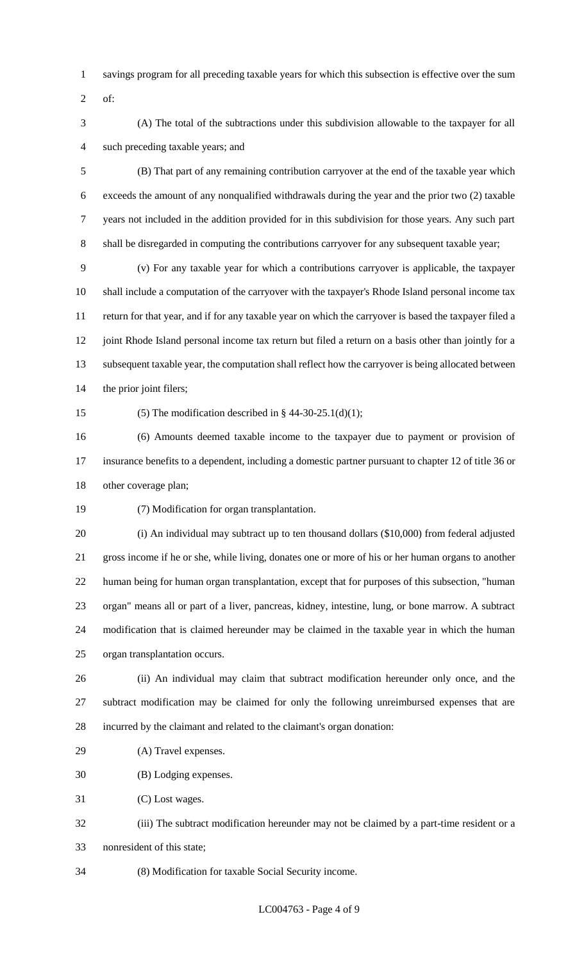- savings program for all preceding taxable years for which this subsection is effective over the sum
- of:
- (A) The total of the subtractions under this subdivision allowable to the taxpayer for all such preceding taxable years; and

 (B) That part of any remaining contribution carryover at the end of the taxable year which exceeds the amount of any nonqualified withdrawals during the year and the prior two (2) taxable years not included in the addition provided for in this subdivision for those years. Any such part shall be disregarded in computing the contributions carryover for any subsequent taxable year;

 (v) For any taxable year for which a contributions carryover is applicable, the taxpayer shall include a computation of the carryover with the taxpayer's Rhode Island personal income tax return for that year, and if for any taxable year on which the carryover is based the taxpayer filed a 12 joint Rhode Island personal income tax return but filed a return on a basis other than jointly for a subsequent taxable year, the computation shall reflect how the carryover is being allocated between the prior joint filers;

15 (5) The modification described in  $\S$  44-30-25.1(d)(1);

 (6) Amounts deemed taxable income to the taxpayer due to payment or provision of insurance benefits to a dependent, including a domestic partner pursuant to chapter 12 of title 36 or other coverage plan;

(7) Modification for organ transplantation.

 (i) An individual may subtract up to ten thousand dollars (\$10,000) from federal adjusted gross income if he or she, while living, donates one or more of his or her human organs to another human being for human organ transplantation, except that for purposes of this subsection, "human organ" means all or part of a liver, pancreas, kidney, intestine, lung, or bone marrow. A subtract modification that is claimed hereunder may be claimed in the taxable year in which the human organ transplantation occurs.

 (ii) An individual may claim that subtract modification hereunder only once, and the subtract modification may be claimed for only the following unreimbursed expenses that are incurred by the claimant and related to the claimant's organ donation:

(A) Travel expenses.

(B) Lodging expenses.

(C) Lost wages.

 (iii) The subtract modification hereunder may not be claimed by a part-time resident or a nonresident of this state;

(8) Modification for taxable Social Security income.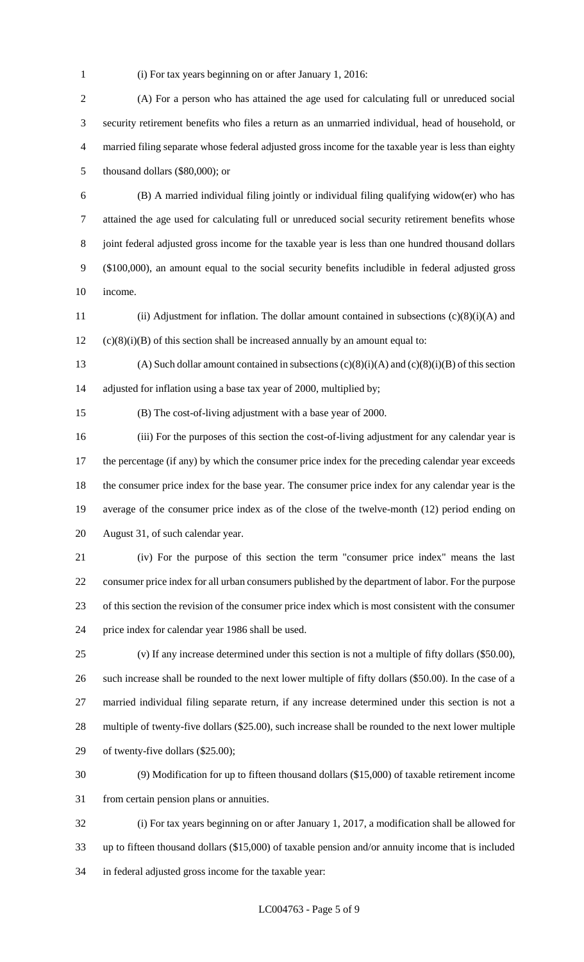(i) For tax years beginning on or after January 1, 2016:

 (A) For a person who has attained the age used for calculating full or unreduced social security retirement benefits who files a return as an unmarried individual, head of household, or married filing separate whose federal adjusted gross income for the taxable year is less than eighty thousand dollars (\$80,000); or

 (B) A married individual filing jointly or individual filing qualifying widow(er) who has attained the age used for calculating full or unreduced social security retirement benefits whose joint federal adjusted gross income for the taxable year is less than one hundred thousand dollars (\$100,000), an amount equal to the social security benefits includible in federal adjusted gross income.

 (ii) Adjustment for inflation. The dollar amount contained in subsections (c)(8)(i)(A) and (c)(8)(i)(B) of this section shall be increased annually by an amount equal to:

13 (A) Such dollar amount contained in subsections  $(c)(8)(i)(A)$  and  $(c)(8)(i)(B)$  of this section adjusted for inflation using a base tax year of 2000, multiplied by;

(B) The cost-of-living adjustment with a base year of 2000.

 (iii) For the purposes of this section the cost-of-living adjustment for any calendar year is 17 the percentage (if any) by which the consumer price index for the preceding calendar year exceeds the consumer price index for the base year. The consumer price index for any calendar year is the average of the consumer price index as of the close of the twelve-month (12) period ending on August 31, of such calendar year.

 (iv) For the purpose of this section the term "consumer price index" means the last consumer price index for all urban consumers published by the department of labor. For the purpose of this section the revision of the consumer price index which is most consistent with the consumer price index for calendar year 1986 shall be used.

 (v) If any increase determined under this section is not a multiple of fifty dollars (\$50.00), such increase shall be rounded to the next lower multiple of fifty dollars (\$50.00). In the case of a married individual filing separate return, if any increase determined under this section is not a multiple of twenty-five dollars (\$25.00), such increase shall be rounded to the next lower multiple of twenty-five dollars (\$25.00);

 (9) Modification for up to fifteen thousand dollars (\$15,000) of taxable retirement income from certain pension plans or annuities.

 (i) For tax years beginning on or after January 1, 2017, a modification shall be allowed for up to fifteen thousand dollars (\$15,000) of taxable pension and/or annuity income that is included in federal adjusted gross income for the taxable year: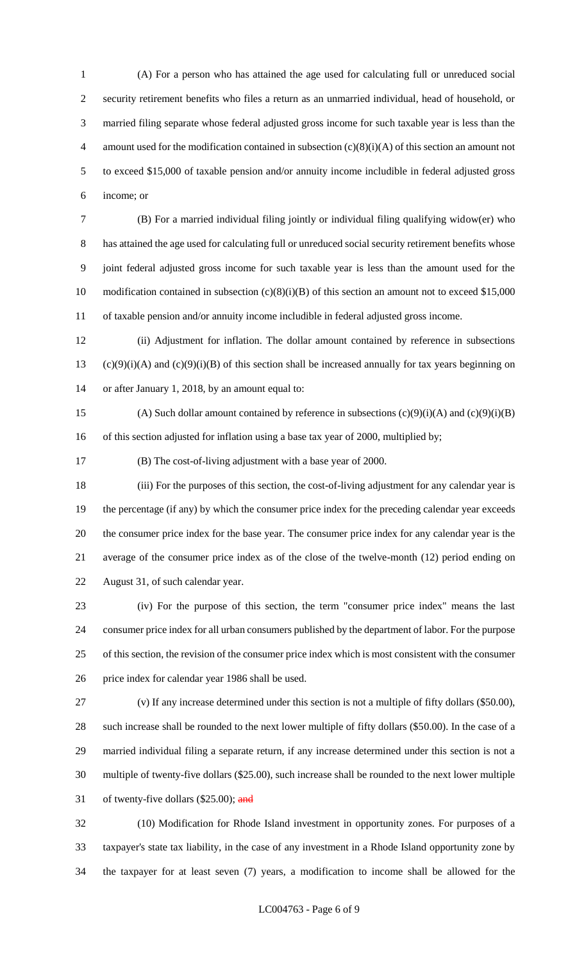(A) For a person who has attained the age used for calculating full or unreduced social security retirement benefits who files a return as an unmarried individual, head of household, or married filing separate whose federal adjusted gross income for such taxable year is less than the 4 amount used for the modification contained in subsection  $(c)(8)(i)(A)$  of this section an amount not to exceed \$15,000 of taxable pension and/or annuity income includible in federal adjusted gross income; or

 (B) For a married individual filing jointly or individual filing qualifying widow(er) who has attained the age used for calculating full or unreduced social security retirement benefits whose joint federal adjusted gross income for such taxable year is less than the amount used for the 10 modification contained in subsection (c)(8)(i)(B) of this section an amount not to exceed \$15,000 of taxable pension and/or annuity income includible in federal adjusted gross income.

 (ii) Adjustment for inflation. The dollar amount contained by reference in subsections (c)(9)(i)(A) and (c)(9)(i)(B) of this section shall be increased annually for tax years beginning on or after January 1, 2018, by an amount equal to:

15 (A) Such dollar amount contained by reference in subsections  $(c)(9)(i)(A)$  and  $(c)(9)(i)(B)$ 16 of this section adjusted for inflation using a base tax year of 2000, multiplied by;

(B) The cost-of-living adjustment with a base year of 2000.

 (iii) For the purposes of this section, the cost-of-living adjustment for any calendar year is the percentage (if any) by which the consumer price index for the preceding calendar year exceeds the consumer price index for the base year. The consumer price index for any calendar year is the average of the consumer price index as of the close of the twelve-month (12) period ending on August 31, of such calendar year.

 (iv) For the purpose of this section, the term "consumer price index" means the last consumer price index for all urban consumers published by the department of labor. For the purpose of this section, the revision of the consumer price index which is most consistent with the consumer price index for calendar year 1986 shall be used.

 (v) If any increase determined under this section is not a multiple of fifty dollars (\$50.00), such increase shall be rounded to the next lower multiple of fifty dollars (\$50.00). In the case of a married individual filing a separate return, if any increase determined under this section is not a multiple of twenty-five dollars (\$25.00), such increase shall be rounded to the next lower multiple 31 of twenty-five dollars  $(\$25.00)$ ; and

 (10) Modification for Rhode Island investment in opportunity zones. For purposes of a taxpayer's state tax liability, in the case of any investment in a Rhode Island opportunity zone by the taxpayer for at least seven (7) years, a modification to income shall be allowed for the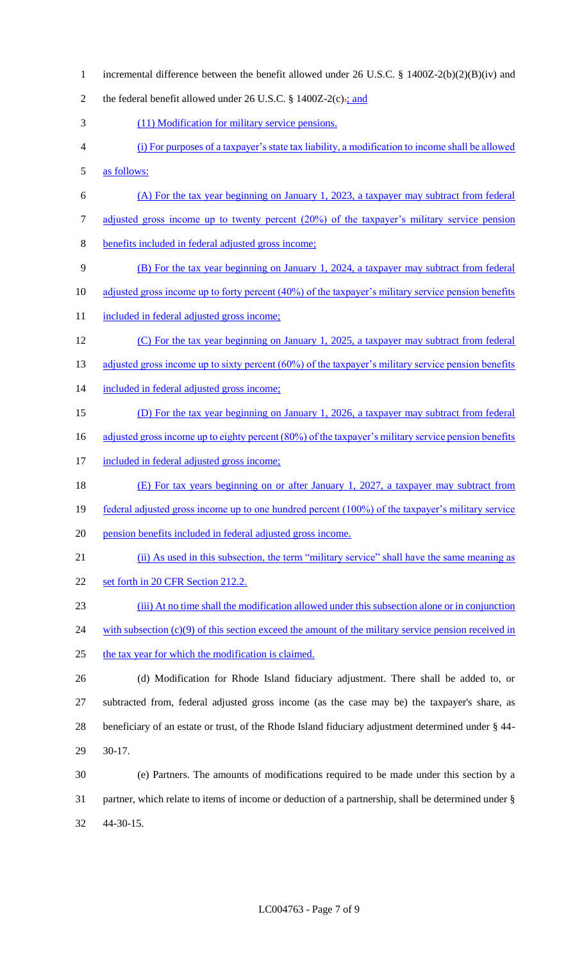incremental difference between the benefit allowed under 26 U.S.C. § 1400Z-2(b)(2)(B)(iv) and 2 the federal benefit allowed under 26 U.S.C.  $\S$  1400Z-2(c) $\div$ ; and (11) Modification for military service pensions. (i) For purposes of a taxpayer's state tax liability, a modification to income shall be allowed as follows: (A) For the tax year beginning on January 1, 2023, a taxpayer may subtract from federal 7 adjusted gross income up to twenty percent (20%) of the taxpayer's military service pension benefits included in federal adjusted gross income; (B) For the tax year beginning on January 1, 2024, a taxpayer may subtract from federal 10 adjusted gross income up to forty percent (40%) of the taxpayer's military service pension benefits 11 included in federal adjusted gross income; 12 (C) For the tax year beginning on January 1, 2025, a taxpayer may subtract from federal 13 adjusted gross income up to sixty percent (60%) of the taxpayer's military service pension benefits 14 included in federal adjusted gross income; (D) For the tax year beginning on January 1, 2026, a taxpayer may subtract from federal 16 adjusted gross income up to eighty percent (80%) of the taxpayer's military service pension benefits 17 included in federal adjusted gross income; (E) For tax years beginning on or after January 1, 2027, a taxpayer may subtract from 19 federal adjusted gross income up to one hundred percent (100%) of the taxpayer's military service pension benefits included in federal adjusted gross income. (ii) As used in this subsection, the term "military service" shall have the same meaning as 22 set forth in 20 CFR Section 212.2. (iii) At no time shall the modification allowed under this subsection alone or in conjunction 24 with subsection (c)(9) of this section exceed the amount of the military service pension received in the tax year for which the modification is claimed. (d) Modification for Rhode Island fiduciary adjustment. There shall be added to, or subtracted from, federal adjusted gross income (as the case may be) the taxpayer's share, as beneficiary of an estate or trust, of the Rhode Island fiduciary adjustment determined under § 44- 30-17. (e) Partners. The amounts of modifications required to be made under this section by a partner, which relate to items of income or deduction of a partnership, shall be determined under § 44-30-15.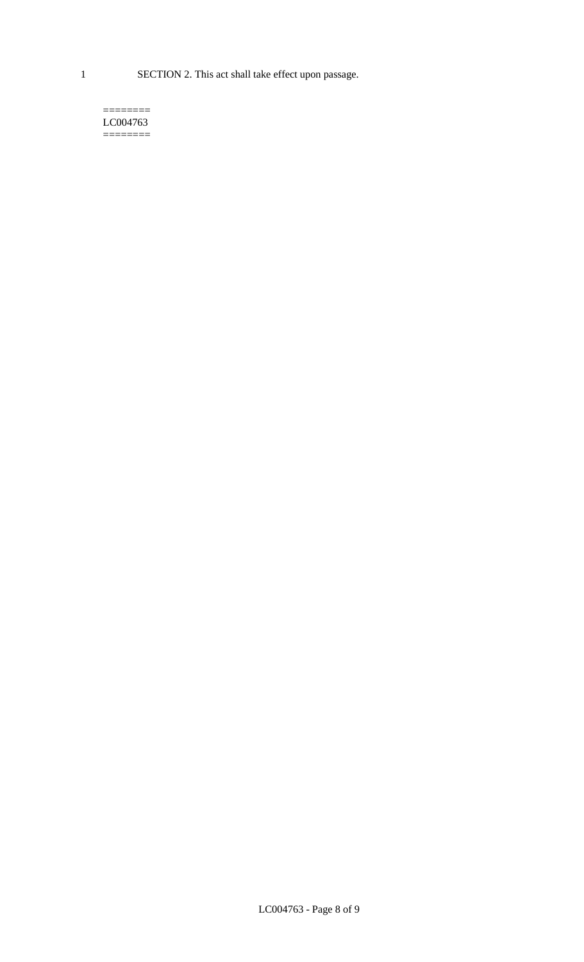1 SECTION 2. This act shall take effect upon passage.

#### $=$ LC004763 ========